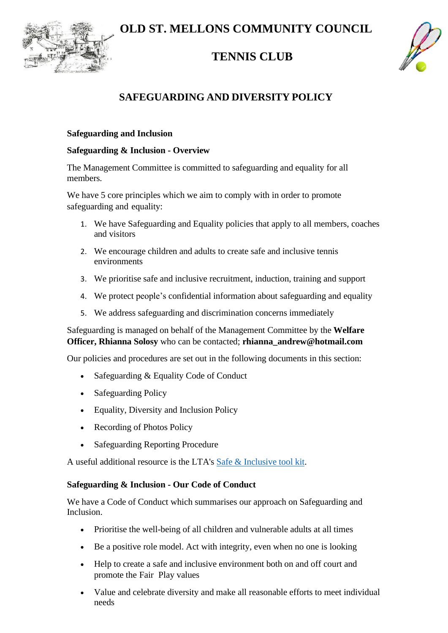**OLD ST. MELLONS COMMUNITY COUNCIL** 



# **TENNIS CLUB**



# **SAFEGUARDING AND DIVERSITY POLICY**

## **Safeguarding and Inclusion**

## **Safeguarding & Inclusion - Overview**

The Management Committee is committed to safeguarding and equality for all members.

We have 5 core principles which we aim to comply with in order to promote safeguarding and equality:

- 1. We have Safeguarding and Equality policies that apply to all members, coaches and visitors
- 2. We encourage children and adults to create safe and inclusive tennis environments
- 3. We prioritise safe and inclusive recruitment, induction, training and support
- 4. We protect people's confidential information about safeguarding and equality
- 5. We address safeguarding and discrimination concerns immediately

Safeguarding is managed on behalf of the Management Committee by the **Welfare Officer, Rhianna Solosy** who can be contacted; **[rhianna\\_andrew@hotmail.com](mailto:margaret.lyons40@icloud.com)**

Our policies and procedures are set out in the following documents in this section:

- Safeguarding & Equality Code of Conduct
- Safeguarding Policy
- Equality, Diversity and Inclusion Policy
- Recording of Photos Policy
- Safeguarding Reporting Procedure

A useful additional resource is the LTA's Safe [& Inclusive](http://www.lta.org.uk/globalassets/about-lta/safeguarding/whats-the-score---safe-and-inclusive-tennis.pdf) tool kit.

## **Safeguarding & Inclusion - Our Code of Conduct**

We have a Code of Conduct which summarises our approach on Safeguarding and Inclusion.

- Prioritise the well-being of all children and vulnerable adults at all times
- Be a positive role model. Act with integrity, even when no one is looking
- Help to create a safe and inclusive environment both on and off court and promote the Fair Play values
- Value and celebrate diversity and make all reasonable efforts to meet individual needs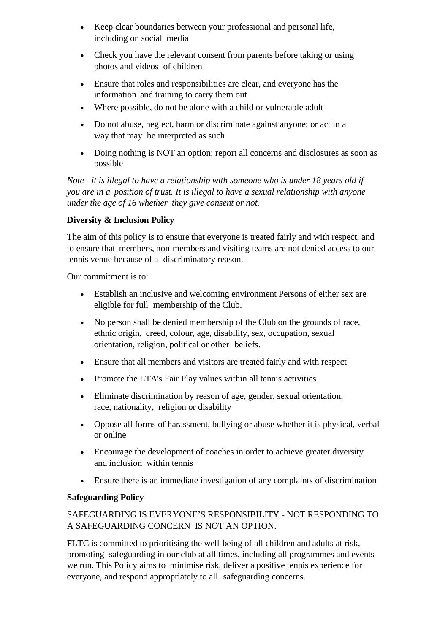- Keep clear boundaries between your professional and personal life, including on social media
- Check you have the relevant consent from parents before taking or using photos and videos of children
- Ensure that roles and responsibilities are clear, and everyone has the information and training to carry them out
- Where possible, do not be alone with a child or vulnerable adult
- Do not abuse, neglect, harm or discriminate against anyone; or act in a way that may be interpreted as such
- Doing nothing is NOT an option: report all concerns and disclosures as soon as possible

*Note - it is illegal to have a relationship with someone who is under 18 years old if you are in a position of trust. It is illegal to have a sexual relationship with anyone under the age of 16 whether they give consent or not.*

## **Diversity & Inclusion Policy**

The aim of this policy is to ensure that everyone is treated fairly and with respect, and to ensure that members, non-members and visiting teams are not denied access to our tennis venue because of a discriminatory reason.

Our commitment is to:

- Establish an inclusive and welcoming environment Persons of either sex are eligible for full membership of the Club.
- No person shall be denied membership of the Club on the grounds of race, ethnic origin, creed, colour, age, disability, sex, occupation, sexual orientation, religion, political or other beliefs.
- Ensure that all members and visitors are treated fairly and with respect
- Promote the LTA's Fair Play values within all tennis activities
- Eliminate discrimination by reason of age, gender, sexual orientation, race, nationality, religion or disability
- Oppose all forms of harassment, bullying or abuse whether it is physical, verbal or online
- Encourage the development of coaches in order to achieve greater diversity and inclusion within tennis
- Ensure there is an immediate investigation of any complaints of discrimination

## **Safeguarding Policy**

## SAFEGUARDING IS EVERYONE'S RESPONSIBILITY - NOT RESPONDING TO A SAFEGUARDING CONCERN IS NOT AN OPTION.

FLTC is committed to prioritising the well-being of all children and adults at risk, promoting safeguarding in our club at all times, including all programmes and events we run. This Policy aims to minimise risk, deliver a positive tennis experience for everyone, and respond appropriately to all safeguarding concerns.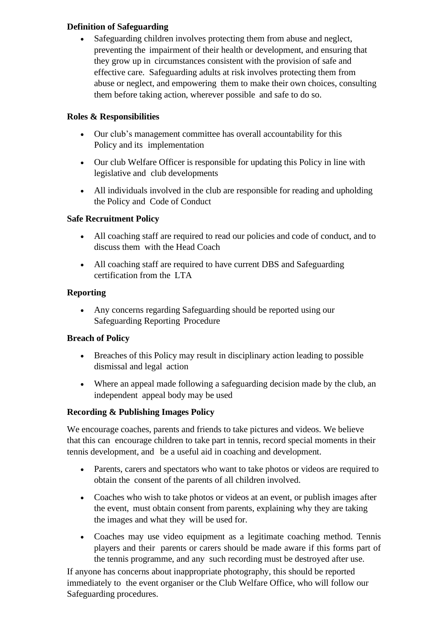## **Definition of Safeguarding**

• Safeguarding children involves protecting them from abuse and neglect, preventing the impairment of their health or development, and ensuring that they grow up in circumstances consistent with the provision of safe and effective care. Safeguarding adults at risk involves protecting them from abuse or neglect, and empowering them to make their own choices, consulting them before taking action, wherever possible and safe to do so.

## **Roles & Responsibilities**

- Our club's management committee has overall accountability for this Policy and its implementation
- Our club Welfare Officer is responsible for updating this Policy in line with legislative and club developments
- All individuals involved in the club are responsible for reading and upholding the Policy and Code of Conduct

## **Safe Recruitment Policy**

- All coaching staff are required to read our policies and code of conduct, and to discuss them with the Head Coach
- All coaching staff are required to have current DBS and Safeguarding certification from the LTA

## **Reporting**

• Any concerns regarding Safeguarding should be reported using our Safeguarding Reporting Procedure

## **Breach of Policy**

- Breaches of this Policy may result in disciplinary action leading to possible dismissal and legal action
- Where an appeal made following a safeguarding decision made by the club, an independent appeal body may be used

## **Recording & Publishing Images Policy**

We encourage coaches, parents and friends to take pictures and videos. We believe that this can encourage children to take part in tennis, record special moments in their tennis development, and be a useful aid in coaching and development.

- Parents, carers and spectators who want to take photos or videos are required to obtain the consent of the parents of all children involved.
- Coaches who wish to take photos or videos at an event, or publish images after the event, must obtain consent from parents, explaining why they are taking the images and what they will be used for.
- Coaches may use video equipment as a legitimate coaching method. Tennis players and their parents or carers should be made aware if this forms part of the tennis programme, and any such recording must be destroyed after use.

If anyone has concerns about inappropriate photography, this should be reported immediately to the event organiser or the Club Welfare Office, who will follow our Safeguarding procedures.